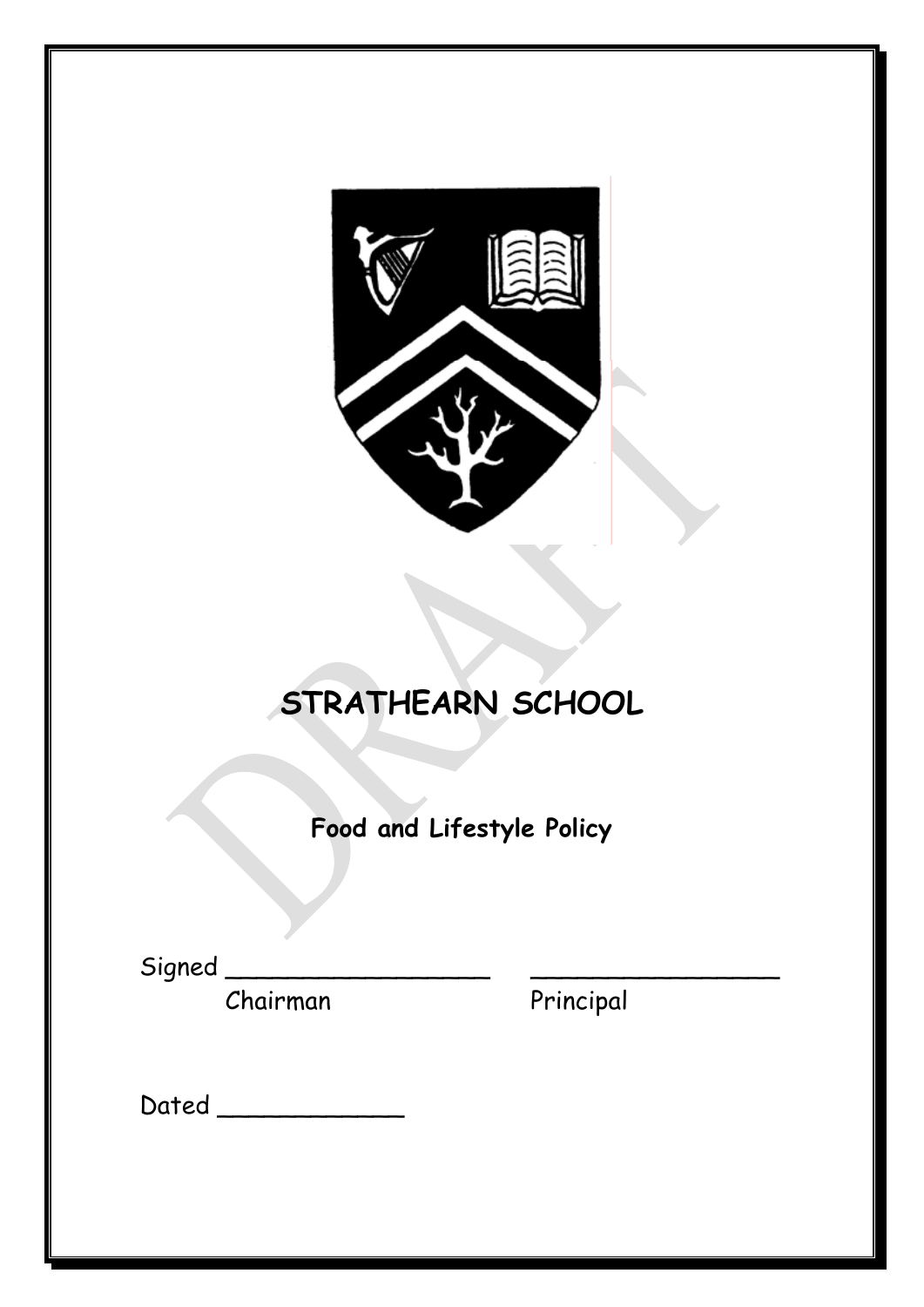

# **STRATHEARN SCHOOL**

**Food and Lifestyle Policy**

Signed \_\_\_\_\_\_\_\_\_\_\_\_\_\_\_\_\_ \_\_\_\_\_\_\_\_\_\_\_\_\_\_\_\_

Chairman Principal

Dated \_\_\_\_\_\_\_\_\_\_\_\_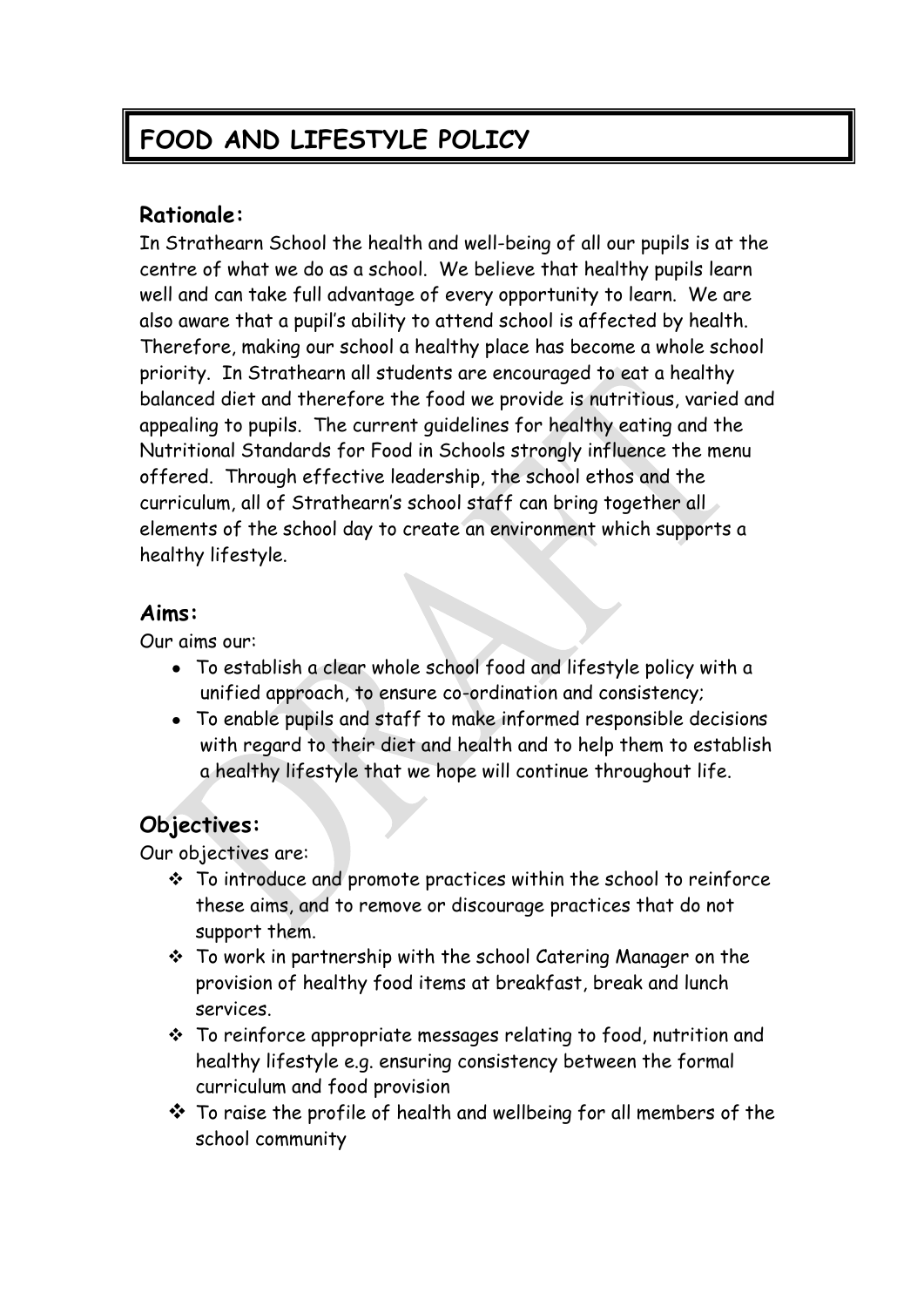# **FOOD AND LIFESTYLE POLICY**

# **Rationale:**

In Strathearn School the health and well-being of all our pupils is at the centre of what we do as a school. We believe that healthy pupils learn well and can take full advantage of every opportunity to learn. We are also aware that a pupil's ability to attend school is affected by health. Therefore, making our school a healthy place has become a whole school priority. In Strathearn all students are encouraged to eat a healthy balanced diet and therefore the food we provide is nutritious, varied and appealing to pupils. The current guidelines for healthy eating and the Nutritional Standards for Food in Schools strongly influence the menu offered. Through effective leadership, the school ethos and the curriculum, all of Strathearn's school staff can bring together all elements of the school day to create an environment which supports a healthy lifestyle.

#### **Aims:**

Our aims our:

- To establish a clear whole school food and lifestyle policy with a unified approach, to ensure co-ordination and consistency;
- To enable pupils and staff to make informed responsible decisions with regard to their diet and health and to help them to establish a healthy lifestyle that we hope will continue throughout life.

# **Objectives:**

Our objectives are:

- To introduce and promote practices within the school to reinforce these aims, and to remove or discourage practices that do not support them.
- To work in partnership with the school Catering Manager on the provision of healthy food items at breakfast, break and lunch services.
- To reinforce appropriate messages relating to food, nutrition and healthy lifestyle e.g. ensuring consistency between the formal curriculum and food provision
- $\cdot$  To raise the profile of health and wellbeing for all members of the school community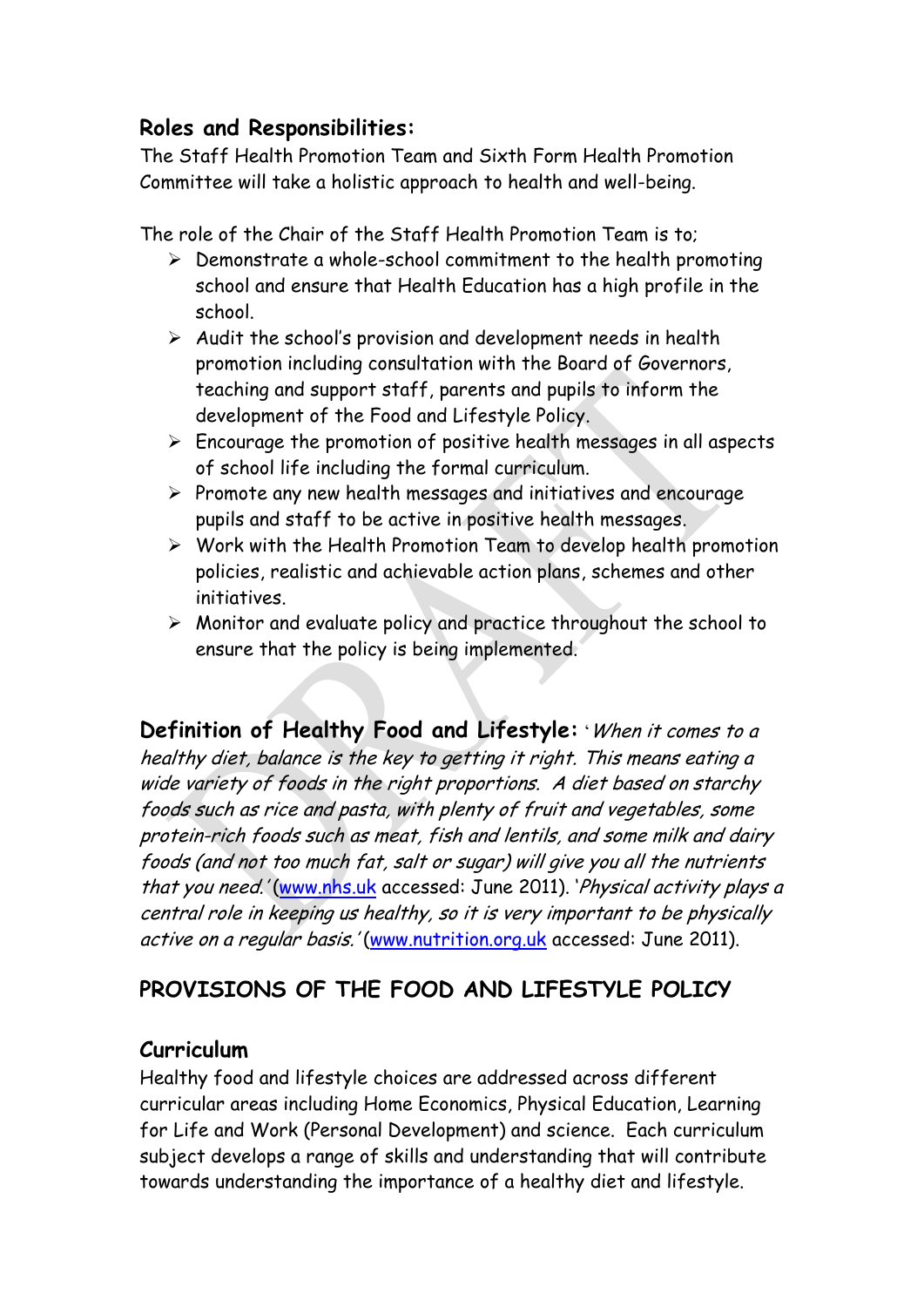# **Roles and Responsibilities:**

The Staff Health Promotion Team and Sixth Form Health Promotion Committee will take a holistic approach to health and well-being.

The role of the Chair of the Staff Health Promotion Team is to;

- $\triangleright$  Demonstrate a whole-school commitment to the health promoting school and ensure that Health Education has a high profile in the school.
- $\triangleright$  Audit the school's provision and development needs in health promotion including consultation with the Board of Governors, teaching and support staff, parents and pupils to inform the development of the Food and Lifestyle Policy.
- $\triangleright$  Encourage the promotion of positive health messages in all aspects of school life including the formal curriculum.
- $\triangleright$  Promote any new health messages and initiatives and encourage pupils and staff to be active in positive health messages.
- $\triangleright$  Work with the Health Promotion Team to develop health promotion policies, realistic and achievable action plans, schemes and other initiatives.
- $\triangleright$  Monitor and evaluate policy and practice throughout the school to ensure that the policy is being implemented.

**Definition of Healthy Food and Lifestyle:** 'When it comes to a healthy diet, balance is the key to getting it right. This means eating <sup>a</sup> wide variety of foods in the right proportions. A diet based on starchy foods such as rice and pasta, with plenty of fruit and vegetables, some protein-rich foods such as meat, fish and lentils, and some milk and dairy foods (and not too much fat, salt or sugar) will give you all the nutrients that you need.' [\(www.nhs.uk](http://www.nhs.uk/) accessed: June 2011). 'Physical activity plays a central role in keeping us healthy, so it is very important to be physically active on a regular basis.' [\(www.nutrition.org.uk](http://www.nutrition.org.uk/) accessed: June 2011).

# **PROVISIONS OF THE FOOD AND LIFESTYLE POLICY**

# **Curriculum**

Healthy food and lifestyle choices are addressed across different curricular areas including Home Economics, Physical Education, Learning for Life and Work (Personal Development) and science. Each curriculum subject develops a range of skills and understanding that will contribute towards understanding the importance of a healthy diet and lifestyle.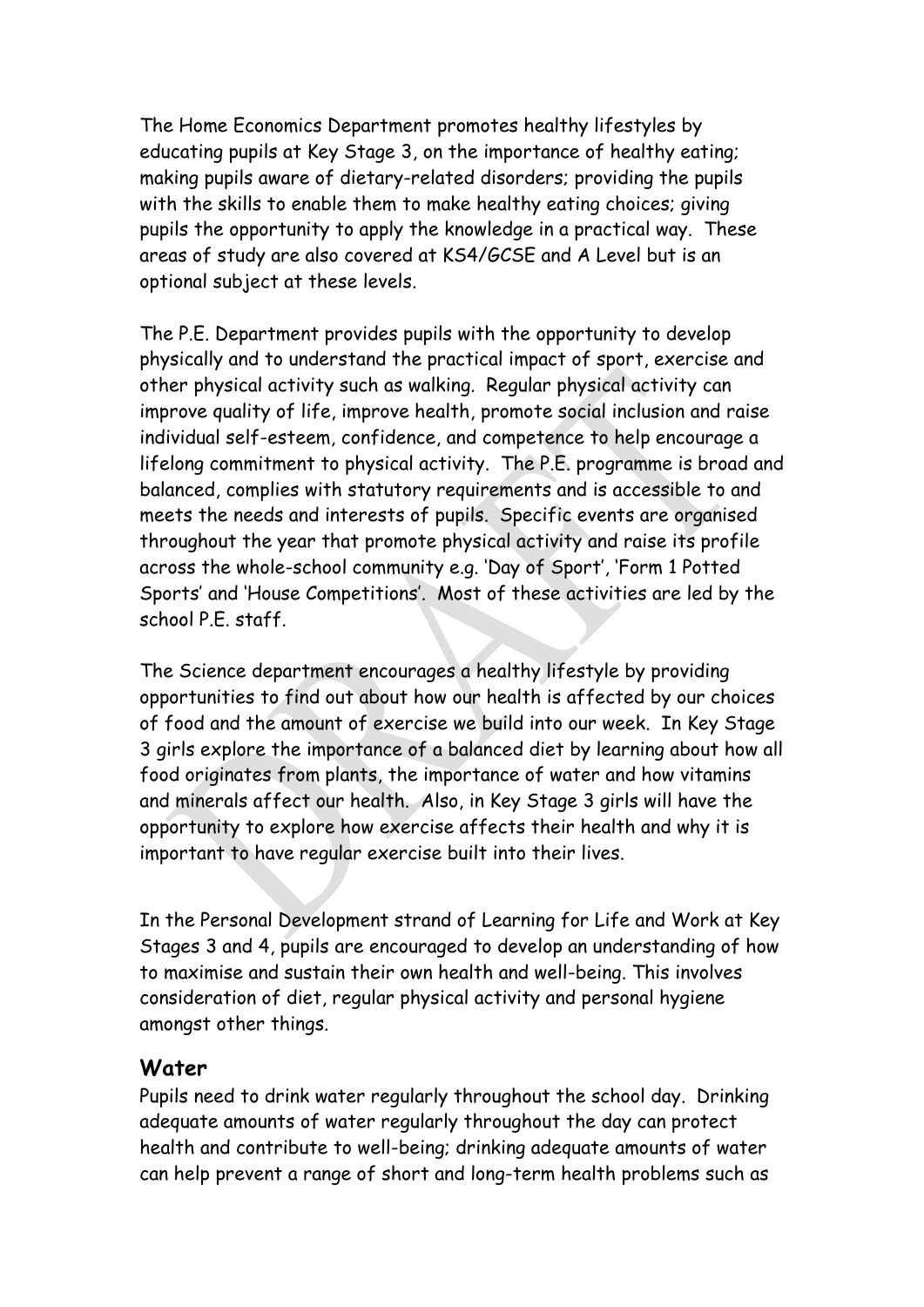The Home Economics Department promotes healthy lifestyles by educating pupils at Key Stage 3, on the importance of healthy eating; making pupils aware of dietary-related disorders; providing the pupils with the skills to enable them to make healthy eating choices; giving pupils the opportunity to apply the knowledge in a practical way. These areas of study are also covered at KS4/GCSE and A Level but is an optional subject at these levels.

The P.E. Department provides pupils with the opportunity to develop physically and to understand the practical impact of sport, exercise and other physical activity such as walking. Regular physical activity can improve quality of life, improve health, promote social inclusion and raise individual self-esteem, confidence, and competence to help encourage a lifelong commitment to physical activity. The P.E. programme is broad and balanced, complies with statutory requirements and is accessible to and meets the needs and interests of pupils. Specific events are organised throughout the year that promote physical activity and raise its profile across the whole-school community e.g. 'Day of Sport', 'Form 1 Potted Sports' and 'House Competitions'. Most of these activities are led by the school P.E. staff.

The Science department encourages a healthy lifestyle by providing opportunities to find out about how our health is affected by our choices of food and the amount of exercise we build into our week. In Key Stage 3 girls explore the importance of a balanced diet by learning about how all food originates from plants, the importance of water and how vitamins and minerals affect our health. Also, in Key Stage 3 girls will have the opportunity to explore how exercise affects their health and why it is important to have regular exercise built into their lives.

In the Personal Development strand of Learning for Life and Work at Key Stages 3 and 4, pupils are encouraged to develop an understanding of how to maximise and sustain their own health and well-being. This involves consideration of diet, regular physical activity and personal hygiene amongst other things.

#### **Water**

Pupils need to drink water regularly throughout the school day. Drinking adequate amounts of water regularly throughout the day can protect health and contribute to well-being; drinking adequate amounts of water can help prevent a range of short and long-term health problems such as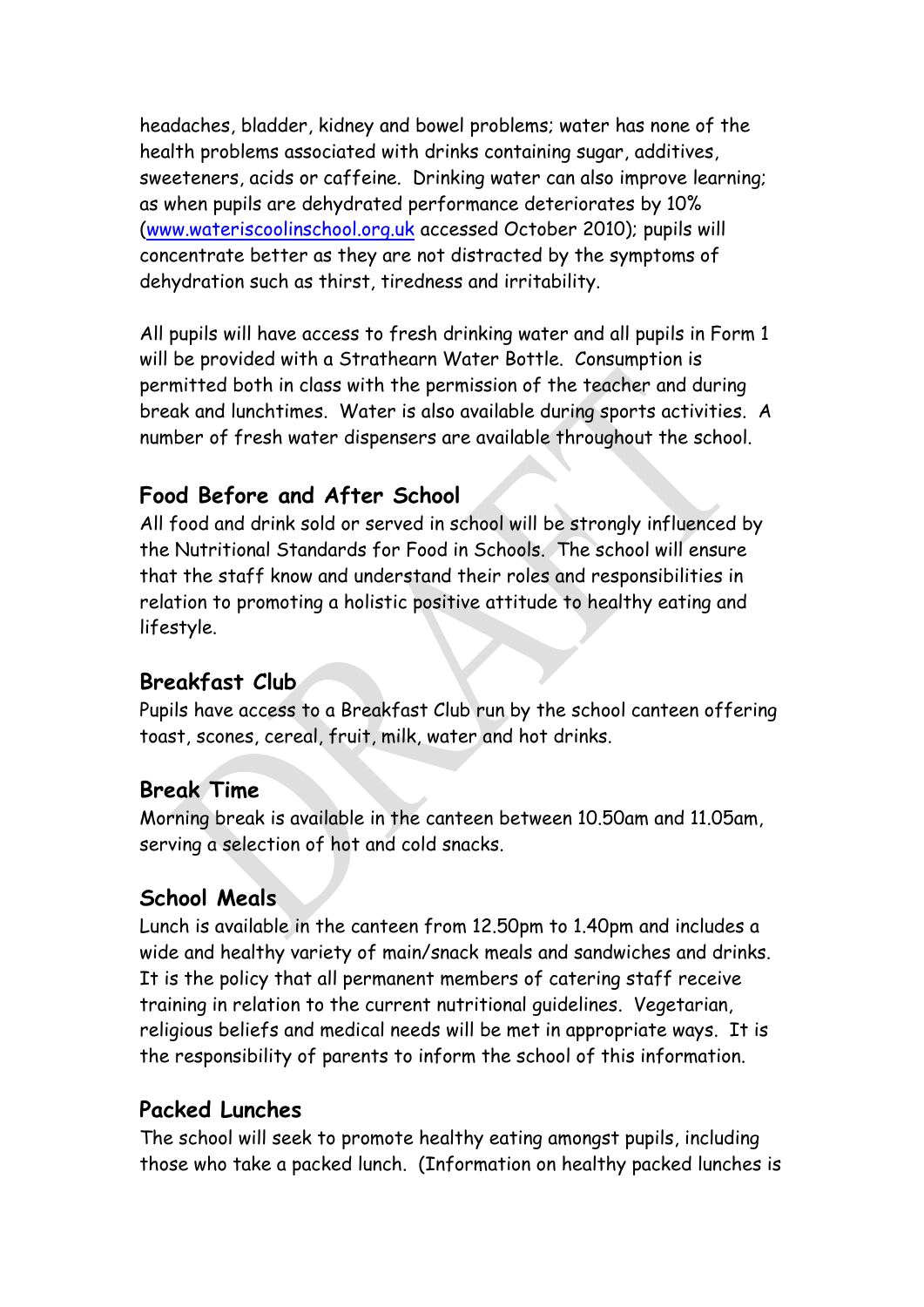headaches, bladder, kidney and bowel problems; water has none of the health problems associated with drinks containing sugar, additives, sweeteners, acids or caffeine. Drinking water can also improve learning; as when pupils are dehydrated performance deteriorates by 10% [\(www.wateriscoolinschool.org.uk](http://www.wateriscoolinschool.org.uk/) accessed October 2010); pupils will concentrate better as they are not distracted by the symptoms of dehydration such as thirst, tiredness and irritability.

All pupils will have access to fresh drinking water and all pupils in Form 1 will be provided with a Strathearn Water Bottle. Consumption is permitted both in class with the permission of the teacher and during break and lunchtimes. Water is also available during sports activities. A number of fresh water dispensers are available throughout the school.

#### **Food Before and After School**

All food and drink sold or served in school will be strongly influenced by the Nutritional Standards for Food in Schools. The school will ensure that the staff know and understand their roles and responsibilities in relation to promoting a holistic positive attitude to healthy eating and lifestyle.

#### **Breakfast Club**

Pupils have access to a Breakfast Club run by the school canteen offering toast, scones, cereal, fruit, milk, water and hot drinks.

#### **Break Time**

Morning break is available in the canteen between 10.50am and 11.05am, serving a selection of hot and cold snacks.

#### **School Meals**

Lunch is available in the canteen from 12.50pm to 1.40pm and includes a wide and healthy variety of main/snack meals and sandwiches and drinks. It is the policy that all permanent members of catering staff receive training in relation to the current nutritional guidelines. Vegetarian, religious beliefs and medical needs will be met in appropriate ways. It is the responsibility of parents to inform the school of this information.

#### **Packed Lunches**

The school will seek to promote healthy eating amongst pupils, including those who take a packed lunch. (Information on healthy packed lunches is